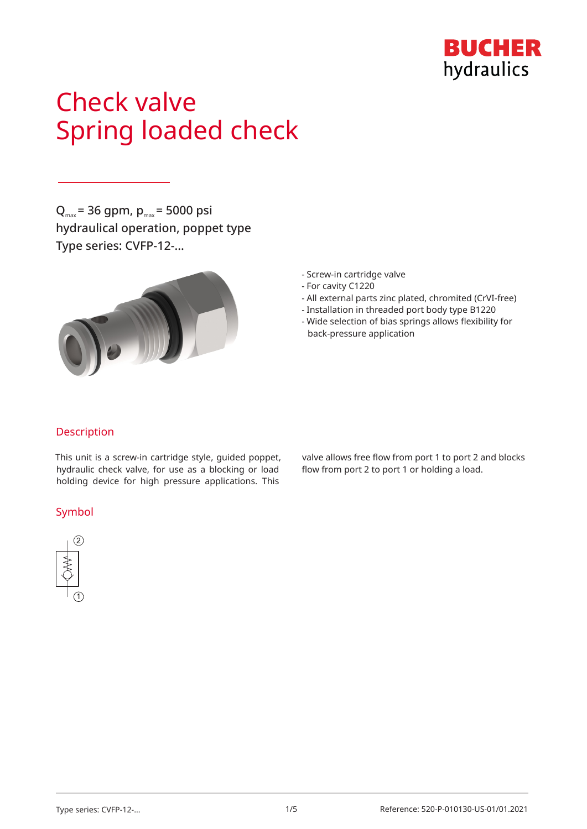

# Check valve Spring loaded check

 $Q_{\text{max}}$  = 36 gpm,  $p_{\text{max}}$  = 5000 psi hydraulical operation, poppet type Type series: CVFP-12-…



- Screw-in cartridge valve
- For cavity C1220
- All external parts zinc plated, chromited (CrVI-free)
- Installation in threaded port body type B1220
- Wide selection of bias springs allows flexibility for back-pressure application

## Description

This unit is a screw-in cartridge style, guided poppet, hydraulic check valve, for use as a blocking or load holding device for high pressure applications. This

### Symbol



valve allows free flow from port 1 to port 2 and blocks flow from port 2 to port 1 or holding a load.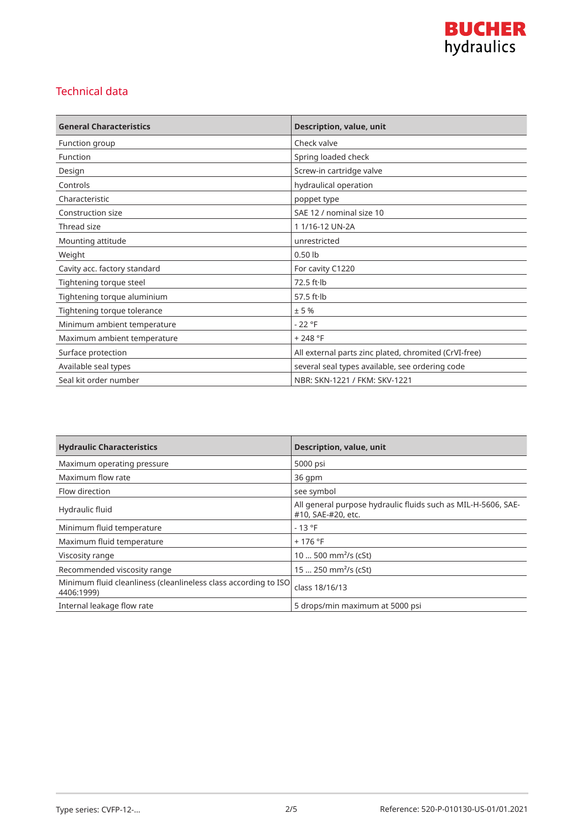

## Technical data

| <b>General Characteristics</b> | Description, value, unit                              |
|--------------------------------|-------------------------------------------------------|
| Function group                 | Check valve                                           |
| Function                       | Spring loaded check                                   |
| Design                         | Screw-in cartridge valve                              |
| Controls                       | hydraulical operation                                 |
| Characteristic                 | poppet type                                           |
| Construction size              | SAE 12 / nominal size 10                              |
| Thread size                    | 11/16-12 UN-2A                                        |
| Mounting attitude              | unrestricted                                          |
| Weight                         | $0.50$ lb                                             |
| Cavity acc. factory standard   | For cavity C1220                                      |
| Tightening torque steel        | $72.5$ ft $\cdot$ lb                                  |
| Tightening torque aluminium    | 57.5 $ft·lb$                                          |
| Tightening torque tolerance    | ± 5%                                                  |
| Minimum ambient temperature    | $-22 °F$                                              |
| Maximum ambient temperature    | $+248 °F$                                             |
| Surface protection             | All external parts zinc plated, chromited (CrVI-free) |
| Available seal types           | several seal types available, see ordering code       |
| Seal kit order number          | NBR: SKN-1221 / FKM: SKV-1221                         |

| <b>Hydraulic Characteristics</b>                                              | <b>Description, value, unit</b>                                                     |
|-------------------------------------------------------------------------------|-------------------------------------------------------------------------------------|
| Maximum operating pressure                                                    | 5000 psi                                                                            |
| Maximum flow rate                                                             | 36 qpm                                                                              |
| Flow direction                                                                | see symbol                                                                          |
| Hydraulic fluid                                                               | All general purpose hydraulic fluids such as MIL-H-5606, SAE-<br>#10, SAE-#20, etc. |
| Minimum fluid temperature                                                     | $-13 °F$                                                                            |
| Maximum fluid temperature                                                     | $+176$ °F                                                                           |
| Viscosity range                                                               | 10  500 mm <sup>2</sup> /s (cSt)                                                    |
| Recommended viscosity range                                                   | 15  250 mm <sup>2</sup> /s (cSt)                                                    |
| Minimum fluid cleanliness (cleanlineless class according to ISO<br>4406:1999) | class 18/16/13                                                                      |
| Internal leakage flow rate                                                    | 5 drops/min maximum at 5000 psi                                                     |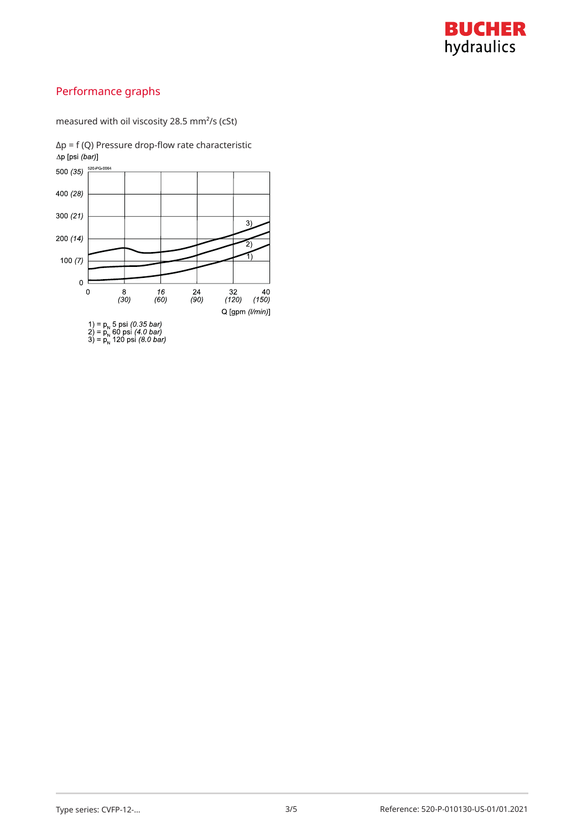

## Performance graphs

measured with oil viscosity 28.5 mm²/s (cSt)



Δp = f (Q) Pressure drop-flow rate characteristic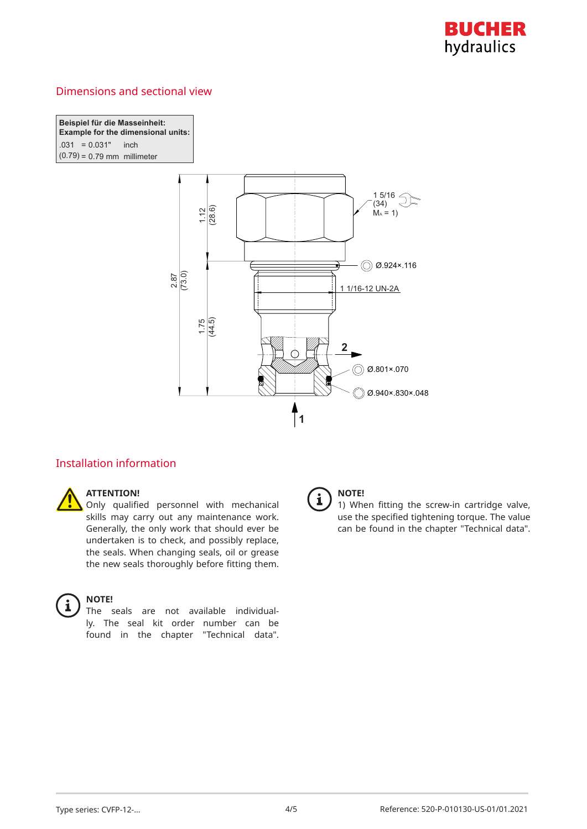

## Dimensions and sectional view

**Beispiel für die Masseinheit: Example for the dimensional units:** *C*( $-0.031$  inch  $(0.79) = 0.79$  mm millimeter



## Installation information



#### **ATTENTION!**

Only qualified personnel with mechanical skills may carry out any maintenance work. Generally, the only work that should ever be undertaken is to check, and possibly replace, the seals. When changing seals, oil or grease the new seals thoroughly before fitting them.



#### **NOTE!**

The seals are not available individually. The seal kit order number can be found in the chapter "Technical data".



## **NOTE!**

1) When fitting the screw-in cartridge valve, use the specified tightening torque. The value can be found in the chapter "Technical data".